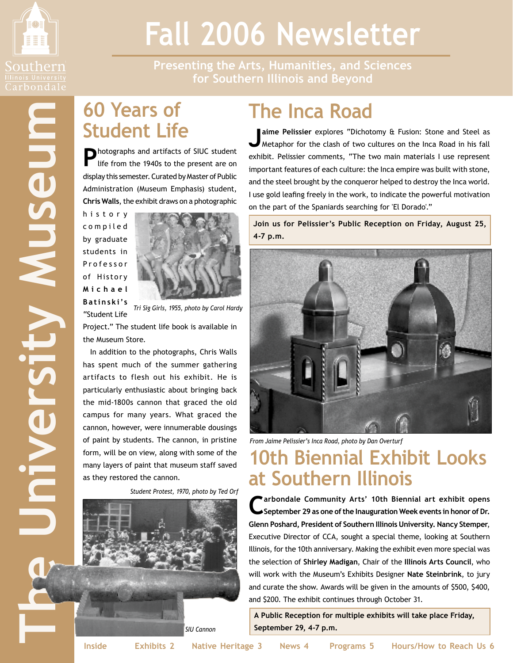

Mnesm

# **Fall 2006 Newsletter**

**Presenting the Arts, Humanities, and Sciences for Southern Illinois and Beyond**

## **60 Years of Student Life**

**P**hotographs and artifacts of SIUC student life from the 1940s to the present are on display this semester. Curated by Master of Public Administration (Museum Emphasis) student, **Chris Walls**, the exhibit draws on a photographic

h i s t o r y c o m p i l e d by graduate students in P r o f e s s o r of Histor y **M i c h a e l B a t i n s k i's**



"Student Life *Tri Sig Girls, 1955, photo by Carol Hardy*

Project." The student life book is available in the Museum Store.

In addition to the photographs, Chris Walls has spent much of the summer gathering artifacts to flesh out his exhibit. He is particularly enthusiastic about bringing back the mid-1800s cannon that graced the old campus for many years. What graced the cannon, however, were innumerable dousings of paint by students. The cannon, in pristine form, will be on view, along with some of the many layers of paint that museum staff saved as they restored the cannon.

*Student Protest, 1970, photo by Ted Orf*



## **The Inca Road**

**Jaime Pelissier** explores "Dichotomy & Fusion: Stone and Steel as Metaphor for the clash of two cultures on the Inca Road in his fall exhibit. Pelissier comments, "The two main materials I use represent important features of each culture: the Inca empire was built with stone, and the steel brought by the conqueror helped to destroy the Inca world. I use gold leafing freely in the work, to indicate the powerful motivation on the part of the Spaniards searching for 'El Dorado'."

**Join us for Pelissier's Public Reception on Friday, August 25, 4-7 p.m.**



*From Jaime Pelissier's Inca Road, photo by Dan Overturf*

## **10th Biennial Exhibit Looks at Southern Illinois**

**Carbondale Community Arts' 10th Biennial art exhibit opens September 29 as one of the Inauguration Week events in honor of Dr. Glenn Poshard, President of Southern Illinois University. Nancy Stemper**, Executive Director of CCA, sought a special theme, looking at Southern Illinois, for the 10th anniversary. Making the exhibit even more special was the selection of **Shirley Madigan**, Chair of the **Illinois Arts Council**, who will work with the Museum's Exhibits Designer **Nate Steinbrink**, to jury and curate the show. Awards will be given in the amounts of \$500, \$400, and \$200. The exhibit continues through October 31.

**A Public Reception for multiple exhibits will take place Friday, September 29, 4-7 p.m.**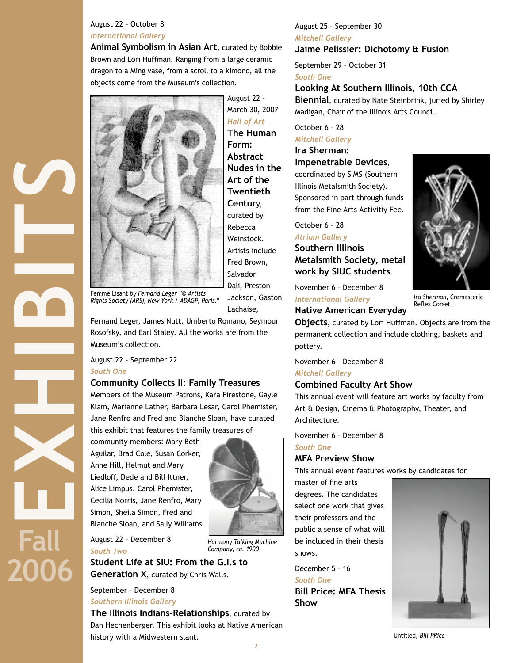## August 22 – October 8 *International Gallery*

**Animal Symbolism in Asian Art**, curated by Bobbie Brown and Lori Huffman. Ranging from a large ceramic dragon to a Ming vase, from a scroll to a kimono, all the objects come from the Museum's collection.



Femme Lisant *by Fernand Leger "© Artists Rights Society (ARS), New York / ADAGP, Paris."*

Fernand Leger, James Nutt, Umberto Romano, Seymour Rosofsky, and Earl Staley. All the works are from the Museum's collection.

August 22 – September 22 *South One*

**EXHIBITS** 

**Fall**

**2006**

## **Community Collects II: Family Treasures**

Members of the Museum Patrons, Kara Firestone, Gayle Klam, Marianne Lather, Barbara Lesar, Carol Phemister, Jane Renfro and Fred and Blanche Sloan, have curated this exhibit that features the family treasures of

community members: Mary Beth Aguilar, Brad Cole, Susan Corker, Anne Hill, Helmut and Mary Liedloff, Dede and Bill Ittner, Alice Limpus, Carol Phemister, Cecilia Norris, Jane Renfro, Mary Simon, Sheila Simon, Fred and Blanche Sloan, and Sally Williams.

August 22 – December 8 *South Two*

**Student Life at SIU: From the G.I.s to Generation X**, curated by Chris Walls.

September – December 8 *Southern Illinois Gallery*

**2 The Illinois Indians-Relationships**, curated by Dan Hechenberger. This exhibit looks at Native American history with a Midwestern slant.

## August 25 – September 30 *Mitchell Gallery* **Jaime Pelissier: Dichotomy & Fusion**

September 29 – October 31 *South One*

## **Looking At Southern Illinois, 10th CCA**

**Biennial**, curated by Nate Steinbrink, juried by Shirley Madigan, Chair of the Illinois Arts Council.

## October 6 – 28 *Mitchell Gallery*

## **Ira Sherman:**

**Impenetrable Devices**, coordinated by SIMS (Southern Illinois Metalsmith Society). Sponsored in part through funds from the Fine Arts Activitiy Fee.

October 6 – 28

## *Atrium Gallery*

**Southern Illinois Metalsmith Society, metal work by SIUC students**.

November 6 – December 8 *International Gallery*

## **Native American Everyday**



*Ira Sherman,* Cremasteric Reflex Corset

**Objects**, curated by Lori Huffman. Objects are from the permanent collection and include clothing, baskets and pottery.

November 6 – December 8

## *Mitchell Gallery*

## **Combined Faculty Art Show**

This annual event will feature art works by faculty from Art & Design, Cinema & Photography, Theater, and Architecture.

November 6 – December 8

## *South One*

## **MFA Preview Show**

This annual event features works by candidates for

master of fine arts degrees. The candidates select one work that gives their professors and the public a sense of what will be included in their thesis shows.

December 5 – 16

*South One*

**Bill Price: MFA Thesis Show**



Untitled*, Bill PRice*



*Harmony Talking Machine Company, ca. 1900*

Jackson, Gaston

Lachaise,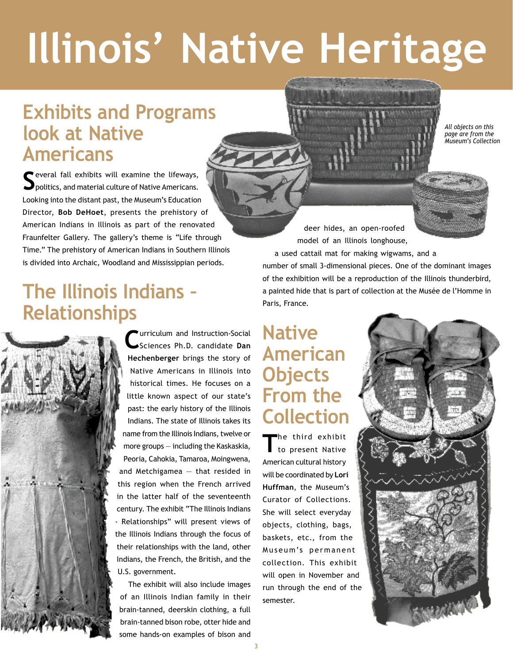# **Illinois' Native Heritage**

## **Exhibits and Programs look at Native Americans**

**S**everal fall exhibits will examine the lifeways, politics, and material culture of Native Americans. Looking into the distant past, the Museum's Education Director, **Bob DeHoet**, presents the prehistory of American Indians in Illinois as part of the renovated Fraunfelter Gallery. The gallery's theme is "Life through Time." The prehistory of American Indians in Southern Illinois is divided into Archaic, Woodland and Mississippian periods.

## **The Illinois Indians – Relationships**



**C**urriculum and Instruction-Social Sciences Ph.D. candidate **Dan Hechenberger** brings the story of Native Americans in Illinois into historical times. He focuses on a little known aspect of our state's past: the early history of the Illinois Indians. The state of Illinois takes its name from the Illinois Indians, twelve or more groups — including the Kaskaskia, Peoria, Cahokia, Tamaroa, Moingwena, and Metchigamea — that resided in this region when the French arrived in the latter half of the seventeenth century. The exhibit "The Illinois Indians - Relationships" will present views of the Illinois Indians through the focus of their relationships with the land, other

Indians, the French, the British, and the U.S. government.

The exhibit will also include images of an Illinois Indian family in their brain-tanned, deerskin clothing, a full brain-tanned bison robe, otter hide and some hands-on examples of bison and

deer hides, an open-roofed model of an Illinois longhouse, a used cattail mat for making wigwams, and a number of small 3-dimensional pieces. One of the dominant images of the exhibition will be a reproduction of the Illinois thunderbird, a painted hide that is part of collection at the Musée de l'Homme in Paris, France.

## **Native American Objects From the Collection**

**T**he third exhibit to present Native American cultural history will be coordinated by **Lori Huffman**, the Museum's Curator of Collections. She will select everyday objects, clothing, bags, baskets, etc., from the Museum's permanent collection. This exhibit will open in November and run through the end of the semester.



*All objects on this page are from the Museum's Collection*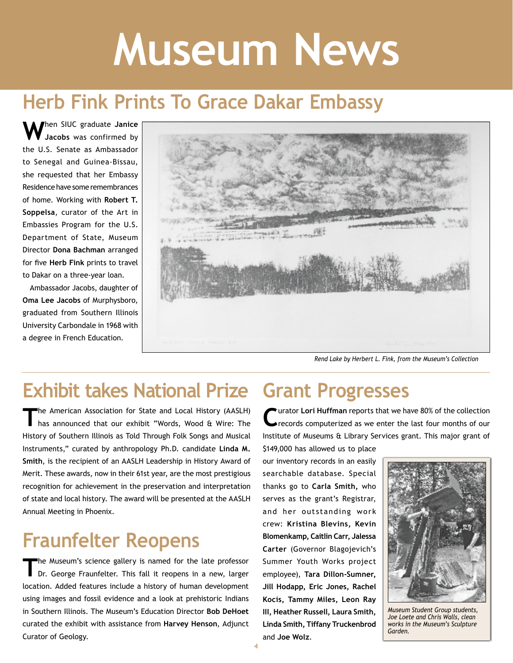# **Museum News**

## **Herb Fink Prints To Grace Dakar Embassy**

**W**hen SIUC graduate **Janice Jacobs** was confirmed by the U.S. Senate as Ambassador to Senegal and Guinea-Bissau, she requested that her Embassy Residence have some remembrances of home. Working with **Robert T. Soppelsa**, curator of the Art in Embassies Program for the U.S. Department of State, Museum Director **Dona Bachman** arranged for five **Herb Fink** prints to travel to Dakar on a three-year loan.

Ambassador Jacobs, daughter of **Oma Lee Jacobs** of Murphysboro, graduated from Southern Illinois University Carbondale in 1968 with a degree in French Education.



*Rend Lake by Herbert L. Fink, from the Museum's Collection*

## **Exhibit takes National Prize Grant Progresses**

The American Association for State and Local History (AASLH)<br>has announced that our exhibit "Words, Wood & Wire: The History of Southern Illinois as Told Through Folk Songs and Musical Instruments," curated by anthropology Ph.D. candidate **Linda M. Smith**, is the recipient of an AASLH Leadership in History Award of Merit. These awards, now in their 61st year, are the most prestigious recognition for achievement in the preservation and interpretation of state and local history. The award will be presented at the AASLH Annual Meeting in Phoenix.

## **Fraunfelter Reopens**

**T**he Museum's science gallery is named for the late professor Dr. George Fraunfelter. This fall it reopens in a new, larger location. Added features include a history of human development using images and fossil evidence and a look at prehistoric Indians in Southern Illinois. The Museum's Education Director **Bob DeHoet** curated the exhibit with assistance from **Harvey Henson**, Adjunct Curator of Geology.

**C**urator **Lori Huffman** reports that we have 80% of the collection records computerized as we enter the last four months of our Institute of Museums & Library Services grant. This major grant of

\$149,000 has allowed us to place our inventory records in an easily searchable database. Special thanks go to **Carla Smith,** who serves as the grant's Registrar, and her outstanding work crew: **Kristina Blevins, Kevin Blomenkamp, Caitlin Carr, Jalessa Carter** (Governor Blagojevich's Summer Youth Works project employee), **Tara Dillon-Sumner, Jill Hodapp, Eric Jones, Rachel Kocis, Tammy Miles, Leon Ray III, Heather Russell, Laura Smith, Linda Smith, Tiffany Truckenbrod** and **Joe Wolz**.



*Museum Student Group students, Joe Loete and Chris Walls, clean works in the Museum's Sculpture Garden.*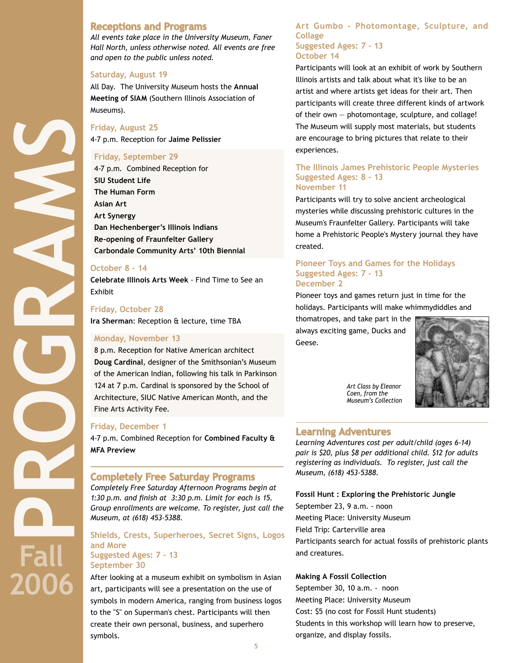## **Receptions and Programs**

*All events take place in the University Museum, Faner Hall North, unless otherwise noted. All events are free and open to the public unless noted.* 

### **Saturday, August 19**

All Day. The University Museum hosts the **Annual Meeting of SIAM** (Southern Illinois Association of Museums).

## **Friday, August 25**

4-7 p.m. Reception for **Jaime Pelissier**

### **Friday, September 29**

4-7 p.m. Combined Reception for **SIU Student Life The Human Form Asian Art Art Synergy Dan Hechenberger's Illinois Indians Re-opening of Fraunfelter Gallery Carbondale Community Arts' 10th Biennial**

### **October 8 - 14**

**Celebrate Illinois Arts Week** - Find Time to See an Exhibit

### **Friday, October 28**

**PROGRAMS** 

**Fall** 

**2006**

**Ira Sherman**: Reception & lecture, time TBA

### **Monday, November 13**

8 p.m. Reception for Native American architect **Doug Cardinal**, designer of the Smithsonian's Museum of the American Indian, following his talk in Parkinson 124 at 7 p.m. Cardinal is sponsored by the School of Architecture, SIUC Native American Month, and the Fine Arts Activity Fee.

### **Friday, December 1**

4-7 p.m. Combined Reception for **Combined Faculty & MFA Preview**

## **Completely Free Saturday Programs**

*Completely Free Saturday Afternoon Programs begin at 1:30 p.m. and finish at 3:30 p.m. Limit for each is 15. Group enrollments are welcome. To register, just call the Museum, at (618) 453-5388.*

## **Shields, Crests, Superheroes, Secret Signs, Logos and More Suggested Ages: 7 - 13**

## **September 30**

After looking at a museum exhibit on symbolism in Asian art, participants will see a presentation on the use of symbols in modern America, ranging from business logos to the "S" on Superman's chest. Participants will then create their own personal, business, and superhero symbols.

## **Art Gumbo - Photomontage, Sculpture, and Collage Suggested Ages: 7 - 13**

## **October 14**

Participants will look at an exhibit of work by Southern Illinois artists and talk about what it's like to be an artist and where artists get ideas for their art. Then participants will create three different kinds of artwork of their own — photomontage, sculpture, and collage! The Museum will supply most materials, but students are encourage to bring pictures that relate to their experiences.

### **The Illinois James Prehistoric People Mysteries Suggested Ages: 8 - 13 November 11**

Participants will try to solve ancient archeological mysteries while discussing prehistoric cultures in the Museum's Fraunfelter Gallery. Participants will take home a Prehistoric People's Mystery journal they have created.

## **Pioneer Toys and Games for the Holidays Suggested Ages: 7 - 13 December 2**

Pioneer toys and games return just in time for the holidays. Participants will make whimmydiddles and

thomatropes, and take part in the always exciting game, Ducks and Geese.



*Art Class by Eleanor Coen, from the Museum's Collection*

## **Learning Adventures**

*Learning Adventures cost per adult/child (ages 6-14) pair is \$20, plus \$8 per additional child. \$12 for adults registering as individuals. To register, just call the Museum, (618) 453-5388.*

**Fossil Hunt : Exploring the Prehistoric Jungle** September 23, 9 a.m. - noon Meeting Place: University Museum Field Trip: Carterville area Participants search for actual fossils of prehistoric plants and creatures.

## **Making A Fossil Collection**

September 30, 10 a.m. - noon Meeting Place: University Museum Cost: \$5 (no cost for Fossil Hunt students) Students in this workshop will learn how to preserve, organize, and display fossils.